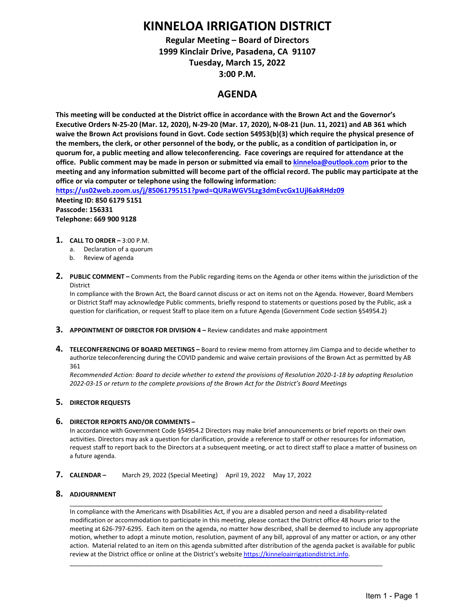# **KINNELOA IRRIGATION DISTRICT**

## **Regular Meeting – Board of Directors 1999 Kinclair Drive, Pasadena, CA 91107 Tuesday, March 15, 2022 3:00 P.M.**

### **AGENDA**

**This meeting will be conducted at the District office in accordance with the Brown Act and the Governor's Executive Orders N-25-20 (Mar. 12, 2020), N-29-20 (Mar. 17, 2020), N-08-21 (Jun. 11, 2021) and AB 361 which waive the Brown Act provisions found in Govt. Code section 54953(b)(3) which require the physical presence of the members, the clerk, or other personnel of the body, or the public, as a condition of participation in, or quorum for, a public meeting and allow teleconferencing. Face coverings are required for attendance at the office. Public comment may be made in person or submitted via email to [kinneloa@outlook.com](mailto:kinneloa@outlook.com) prior to the meeting and any information submitted will become part of the official record. The public may participate at the office or via computer or telephone using the following information:**

**<https://us02web.zoom.us/j/85061795151?pwd=QURaWGV5Lzg3dmEvcGx1Ujl6akRHdz09> Meeting ID: 850 6179 5151**

**Passcode: 156331 Telephone: 669 900 9128**

- **1. CALL TO ORDER** 3:00 P.M.
	- a. Declaration of a quorum
	- b. Review of agenda
- **2. PUBLIC COMMENT –** Comments from the Public regarding items on the Agenda or other items within the jurisdiction of the District

In compliance with the Brown Act, the Board cannot discuss or act on items not on the Agenda. However, Board Members or District Staff may acknowledge Public comments, briefly respond to statements or questions posed by the Public, ask a question for clarification, or request Staff to place item on a future Agenda (Government Code section §54954.2)

- **3. [APPOINTMENT OF DIRECTOR FOR DIVISION 4](#page-1-0)** Review candidates and make appointment
- **4. TELECONFERENCING OF BOARD MEETINGS** [Board to review memo from attorn](#page--1-0)[e](#page-5-0)y Jim Ciampa and to decide whether to authorize teleconferencing during the COVID pandemic and waive certain provisions of the Brown Act as permitted by AB 361

*Recommended Action: Board to decide whether to extend the provisions of Resolution 2020-1-18 by adopting Resolution 2022-03-15 or return to the complete provisions of the Brown Act for the District's Board Meetings*

#### **5. DIRECTOR REQUESTS**

#### **6. DIRECTOR REPORTS AND/OR COMMENTS –**

In accordance with Government Code §54954.2 Directors may make brief announcements or brief reports on their own activities. Directors may ask a question for clarification, provide a reference to staff or other resources for information, request staff to report back to the Directors at a subsequent meeting, or act to direct staff to place a matter of business on a future agenda.

**7. CALENDAR –** March 29, 2022 (Special Meeting) April 19, 2022 May 17, 2022

#### **8. ADJOURNMENT**

In compliance with the Americans with Disabilities Act, if you are a disabled person and need a disability-related modification or accommodation to participate in this meeting, please contact the District office 48 hours prior to the meeting at 626-797-6295. Each item on the agenda, no matter how described, shall be deemed to include any appropriate motion, whether to adopt a minute motion, resolution, payment of any bill, approval of any matter or action, or any other action. Material related to an item on this agenda submitted after distribution of the agenda packet is available for public review at the District office or online at the District's websit[e https://kinneloairrigationdistrict.info.](https://kinneloairrigationdistrict.info/)

\_\_\_\_\_\_\_\_\_\_\_\_\_\_\_\_\_\_\_\_\_\_\_\_\_\_\_\_\_\_\_\_\_\_\_\_\_\_\_\_\_\_\_\_\_\_\_\_\_\_\_\_\_\_\_\_\_\_\_\_\_\_\_\_\_\_\_\_\_\_\_\_\_\_\_\_\_\_\_\_\_\_\_\_\_\_\_\_\_\_

\_\_\_\_\_\_\_\_\_\_\_\_\_\_\_\_\_\_\_\_\_\_\_\_\_\_\_\_\_\_\_\_\_\_\_\_\_\_\_\_\_\_\_\_\_\_\_\_\_\_\_\_\_\_\_\_\_\_\_\_\_\_\_\_\_\_\_\_\_\_\_\_\_\_\_\_\_\_\_\_\_\_\_\_\_\_\_\_\_\_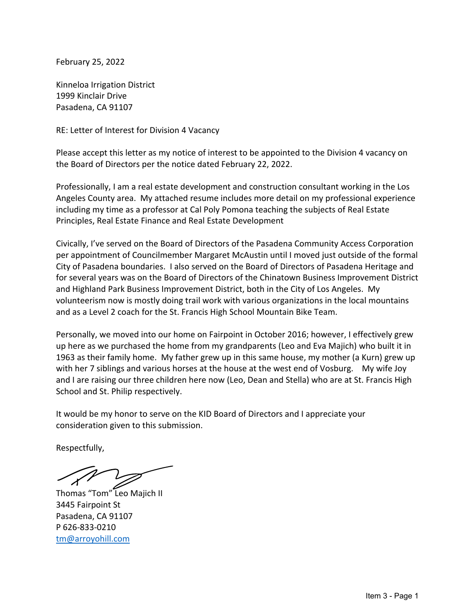<span id="page-1-0"></span>February 25, 2022

Kinneloa Irrigation District 1999 Kinclair Drive Pasadena, CA 91107

RE: Letter of Interest for Division 4 Vacancy

Please accept this letter as my notice of interest to be appointed to the Division 4 vacancy on the Board of Directors per the notice dated February 22, 2022.

Professionally, I am a real estate development and construction consultant working in the Los Angeles County area. My attached resume includes more detail on my professional experience including my time as a professor at Cal Poly Pomona teaching the subjects of Real Estate Principles, Real Estate Finance and Real Estate Development

Civically, I've served on the Board of Directors of the Pasadena Community Access Corporation per appointment of Councilmember Margaret McAustin until I moved just outside of the formal City of Pasadena boundaries. I also served on the Board of Directors of Pasadena Heritage and for several years was on the Board of Directors of the Chinatown Business Improvement District and Highland Park Business Improvement District, both in the City of Los Angeles. My volunteerism now is mostly doing trail work with various organizations in the local mountains and as a Level 2 coach for the St. Francis High School Mountain Bike Team.

Personally, we moved into our home on Fairpoint in October 2016; however, I effectively grew up here as we purchased the home from my grandparents (Leo and Eva Majich) who built it in 1963 as their family home. My father grew up in this same house, my mother (a Kurn) grew up with her 7 siblings and various horses at the house at the west end of Vosburg. My wife Joy and I are raising our three children here now (Leo, Dean and Stella) who are at St. Francis High School and St. Philip respectively.

It would be my honor to serve on the KID Board of Directors and I appreciate your consideration given to this submission.

Respectfully,

Thomas "Tom" Leo Majich II 3445 Fairpoint St Pasadena, CA 91107 P 626-833-0210 tm@arroyohill.com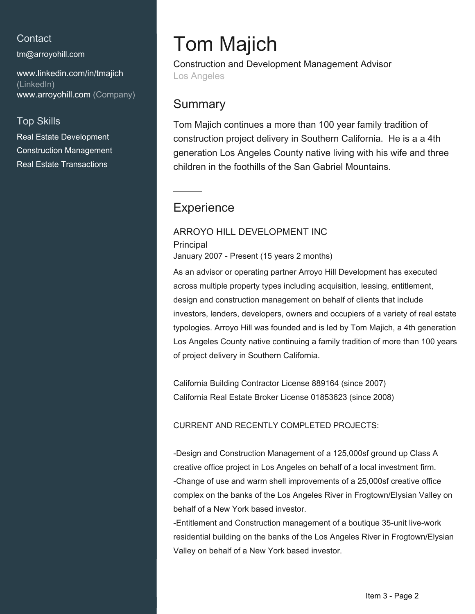## Contact

tm@arroyohill.com

www.linkedin.com/in/tmajich (LinkedIn) www.arroyohill.com (Company)

## **Top Skills**

**Real Estate Development Construction Management Real Estate Transactions** 

# **Tom Majich**

**Construction and Development Management Advisor** Los Angeles

# Summary

Tom Majich continues a more than 100 year family tradition of construction project delivery in Southern California. He is a a 4th generation Los Angeles County native living with his wife and three children in the foothills of the San Gabriel Mountains.

# Experience

## ARROYO HILL DEVELOPMENT INC

Principal

January 2007 - Present (15 years 2 months)

As an advisor or operating partner Arroyo Hill Development has executed across multiple property types including acquisition, leasing, entitlement, design and construction management on behalf of clients that include investors, lenders, developers, owners and occupiers of a variety of real estate typologies. Arroyo Hill was founded and is led by Tom Majich, a 4th generation Los Angeles County native continuing a family tradition of more than 100 years of project delivery in Southern California.

California Building Contractor License 889164 (since 2007) California Real Estate Broker License 01853623 (since 2008)

**CURRENT AND RECENTLY COMPLETED PROJECTS:** 

-Design and Construction Management of a 125,000sf ground up Class A creative office project in Los Angeles on behalf of a local investment firm. -Change of use and warm shell improvements of a 25,000sf creative office complex on the banks of the Los Angeles River in Frogtown/Elysian Valley on behalf of a New York based investor.

-Entitlement and Construction management of a boutique 35-unit live-work residential building on the banks of the Los Angeles River in Frogtown/Elysian Valley on behalf of a New York based investor.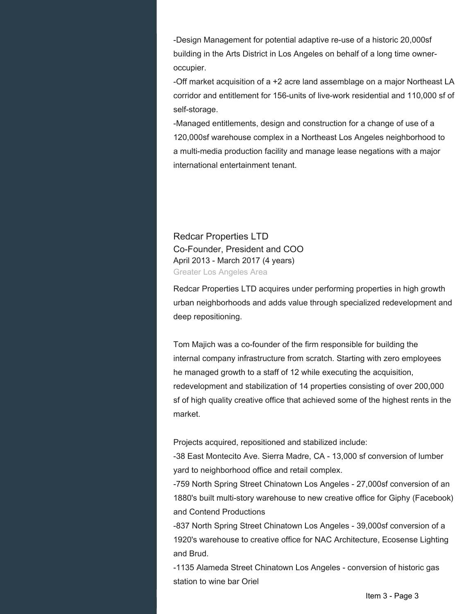-Design Management for potential adaptive re-use of a historic 20,000sf building in the Arts District in Los Angeles on behalf of a long time owneroccupier.

-Off market acquisition of a +2 acre land assemblage on a major Northeast LA corridor and entitlement for 156-units of live-work residential and 110,000 sf of self-storage.

-Managed entitlements, design and construction for a change of use of a 120,000sf warehouse complex in a Northeast Los Angeles neighborhood to a multi-media production facility and manage lease negations with a major international entertainment tenant.

**Redcar Properties LTD** Co-Founder, President and COO April 2013 - March 2017 (4 years) Greater Los Angeles Area

Redcar Properties LTD acquires under performing properties in high growth urban neighborhoods and adds value through specialized redevelopment and deep repositioning.

Tom Majich was a co-founder of the firm responsible for building the internal company infrastructure from scratch. Starting with zero employees he managed growth to a staff of 12 while executing the acquisition. redevelopment and stabilization of 14 properties consisting of over 200,000 sf of high quality creative office that achieved some of the highest rents in the market

Projects acquired, repositioned and stabilized include:

-38 East Montecito Ave. Sierra Madre, CA - 13,000 sf conversion of lumber vard to neighborhood office and retail complex.

-759 North Spring Street Chinatown Los Angeles - 27,000sf conversion of an 1880's built multi-story warehouse to new creative office for Giphy (Facebook) and Contend Productions

-837 North Spring Street Chinatown Los Angeles - 39,000sf conversion of a 1920's warehouse to creative office for NAC Architecture, Ecosense Lighting and Brud.

-1135 Alameda Street Chinatown Los Angeles - conversion of historic gas station to wine bar Oriel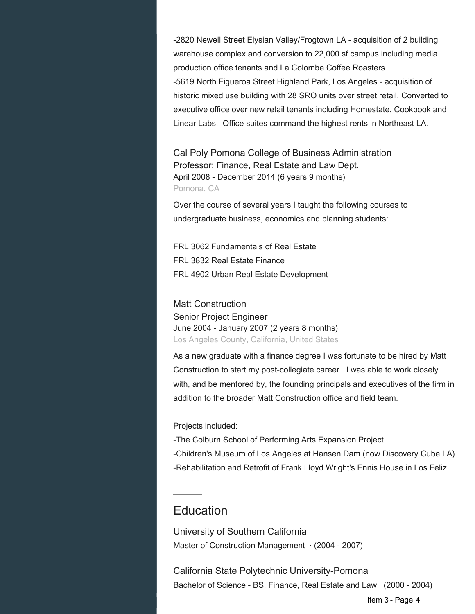-2820 Newell Street Elysian Valley/Frogtown LA - acquisition of 2 building warehouse complex and conversion to 22,000 sf campus including media production office tenants and La Colombe Coffee Roasters -5619 North Figueroa Street Highland Park, Los Angeles - acquisition of historic mixed use building with 28 SRO units over street retail. Converted to executive office over new retail tenants including Homestate, Cookbook and Linear Labs. Office suites command the highest rents in Northeast LA.

Cal Poly Pomona College of Business Administration Professor; Finance, Real Estate and Law Dept. April 2008 - December 2014 (6 years 9 months) Pomona, CA

Over the course of several years I taught the following courses to undergraduate business, economics and planning students:

FRL 3062 Fundamentals of Real Estate FRL 3832 Real Estate Finance FRL 4902 Urban Real Estate Development

**Matt Construction Senior Project Engineer** June 2004 - January 2007 (2 years 8 months) Los Angeles County, California, United States

As a new graduate with a finance degree I was fortunate to be hired by Matt Construction to start my post-collegiate career. I was able to work closely with, and be mentored by, the founding principals and executives of the firm in addition to the broader Matt Construction office and field team.

Projects included:

-The Colburn School of Performing Arts Expansion Project -Children's Museum of Los Angeles at Hansen Dam (now Discovery Cube LA) -Rehabilitation and Retrofit of Frank Lloyd Wright's Ennis House in Los Feliz

# Education

University of Southern California Master of Construction Management  $\cdot$  (2004 - 2007)

California State Polytechnic University-Pomona Bachelor of Science - BS, Finance, Real Estate and Law (2000 - 2004)

Item 3 - Page 4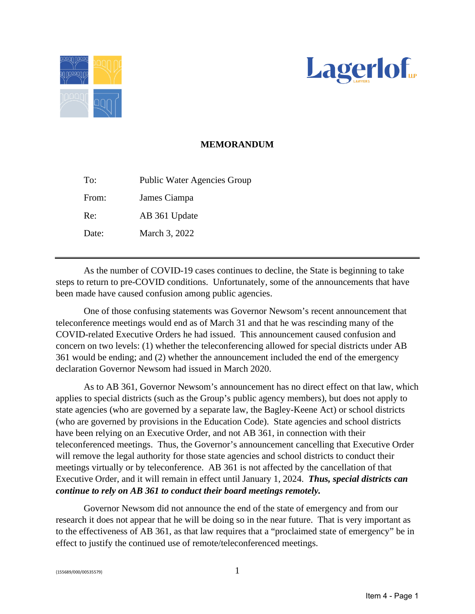<span id="page-5-0"></span>



## **MEMORANDUM**

To: Public Water Agencies Group From: James Ciampa Re: AB 361 Update Date: March 3, 2022

As the number of COVID-19 cases continues to decline, the State is beginning to take steps to return to pre-COVID conditions. Unfortunately, some of the announcements that have been made have caused confusion among public agencies.

 One of those confusing statements was Governor Newsom's recent announcement that teleconference meetings would end as of March 31 and that he was rescinding many of the COVID-related Executive Orders he had issued. This announcement caused confusion and concern on two levels: (1) whether the teleconferencing allowed for special districts under AB 361 would be ending; and (2) whether the announcement included the end of the emergency declaration Governor Newsom had issued in March 2020.

 As to AB 361, Governor Newsom's announcement has no direct effect on that law, which applies to special districts (such as the Group's public agency members), but does not apply to state agencies (who are governed by a separate law, the Bagley-Keene Act) or school districts (who are governed by provisions in the Education Code). State agencies and school districts have been relying on an Executive Order, and not AB 361, in connection with their teleconferenced meetings. Thus, the Governor's announcement cancelling that Executive Order will remove the legal authority for those state agencies and school districts to conduct their meetings virtually or by teleconference. AB 361 is not affected by the cancellation of that Executive Order, and it will remain in effect until January 1, 2024. *Thus, special districts can continue to rely on AB 361 to conduct their board meetings remotely.* 

Governor Newsom did not announce the end of the state of emergency and from our research it does not appear that he will be doing so in the near future. That is very important as to the effectiveness of AB 361, as that law requires that a "proclaimed state of emergency" be in effect to justify the continued use of remote/teleconferenced meetings.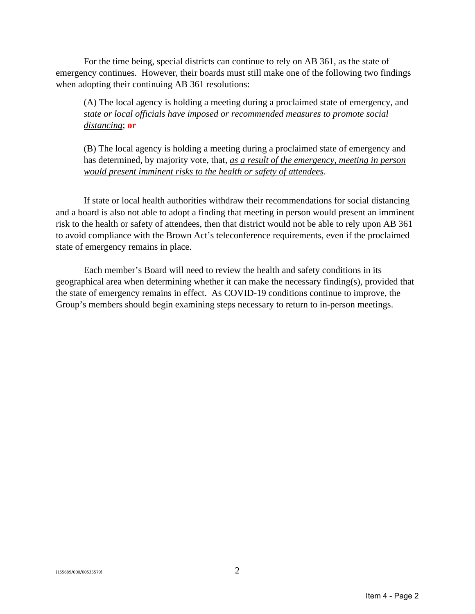For the time being, special districts can continue to rely on AB 361, as the state of emergency continues. However, their boards must still make one of the following two findings when adopting their continuing AB 361 resolutions:

(A) The local agency is holding a meeting during a proclaimed state of emergency, and *state or local officials have imposed or recommended measures to promote social distancing*; **or** 

(B) The local agency is holding a meeting during a proclaimed state of emergency and has determined, by majority vote, that, *as a result of the emergency, meeting in person would present imminent risks to the health or safety of attendees*.

If state or local health authorities withdraw their recommendations for social distancing and a board is also not able to adopt a finding that meeting in person would present an imminent risk to the health or safety of attendees, then that district would not be able to rely upon AB 361 to avoid compliance with the Brown Act's teleconference requirements, even if the proclaimed state of emergency remains in place.

 Each member's Board will need to review the health and safety conditions in its geographical area when determining whether it can make the necessary finding(s), provided that the state of emergency remains in effect. As COVID-19 conditions continue to improve, the Group's members should begin examining steps necessary to return to in-person meetings.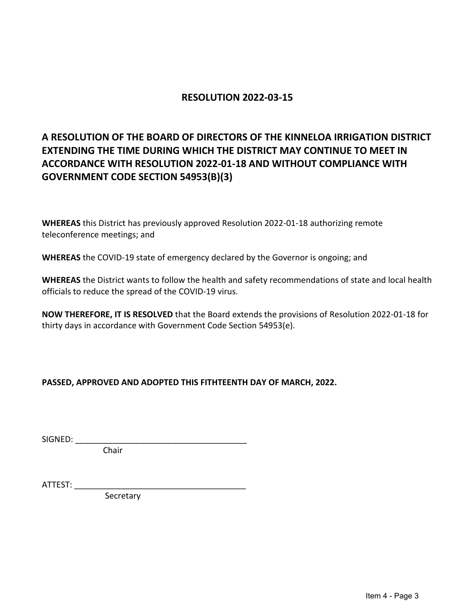## **RESOLUTION 2022-03-15**

# **A RESOLUTION OF THE BOARD OF DIRECTORS OF THE KINNELOA IRRIGATION DISTRICT EXTENDING THE TIME DURING WHICH THE DISTRICT MAY CONTINUE TO MEET IN ACCORDANCE WITH RESOLUTION 2022-01-18 AND WITHOUT COMPLIANCE WITH GOVERNMENT CODE SECTION 54953(B)(3)**

**WHEREAS** this District has previously approved Resolution 2022-01-18 authorizing remote teleconference meetings; and

**WHEREAS** the COVID-19 state of emergency declared by the Governor is ongoing; and

**WHEREAS** the District wants to follow the health and safety recommendations of state and local health officials to reduce the spread of the COVID-19 virus.

**NOW THEREFORE, IT IS RESOLVED** that the Board extends the provisions of Resolution 2022-01-18 for thirty days in accordance with Government Code Section 54953(e).

**PASSED, APPROVED AND ADOPTED THIS FITHTEENTH DAY OF MARCH, 2022.** 

SIGNED:

Chair

ATTEST: \_\_\_\_\_\_\_\_\_\_\_\_\_\_\_\_\_\_\_\_\_\_\_\_\_\_\_\_\_\_\_\_\_\_\_\_\_

Secretary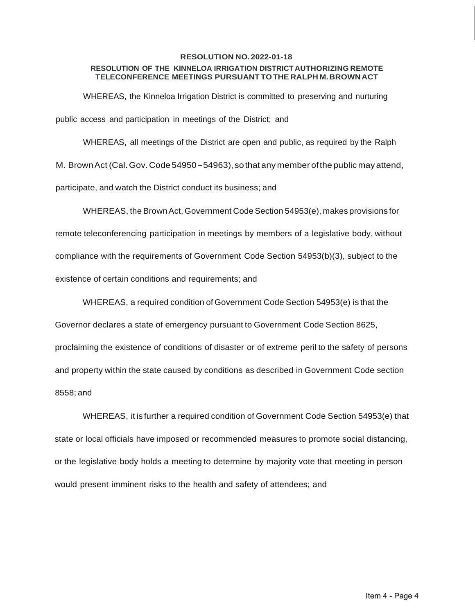#### **RESOLUTION NO. 2022-01-18 RESOLUTION OF THE KINNELOA IRRIGATION DISTRICT AUTHORIZING REMOTE TELECONFERENCE MEETINGS PURSUANTTOTHE RALPH M.BROWNACT**

WHEREAS, the Kinneloa Irrigation District is committed to preserving and nurturing public access and participation in meetings of the District; and

WHEREAS, all meetings of the District are open and public, as required by the Ralph M. BrownAct (Cal.Gov.Code 54950- 54963), sothat any member ofthe public mayattend, participate, and watch the District conduct its business; and

WHEREAS, the Brown Act, Government Code Section 54953(e), makes provisions for remote teleconferencing participation in meetings by members of a legislative body, without compliance with the requirements of Government Code Section 54953(b)(3), subject to the existence of certain conditions and requirements; and

WHEREAS, a required condition of Government Code Section 54953(e) is that the

Governor declares a state of emergency pursuant to Government Code Section 8625,

proclaiming the existence of conditions of disaster or of extreme peril to the safety of persons and property within the state caused by conditions as described in Government Code section 8558; and

WHEREAS, it is further a required condition of Government Code Section 54953(e) that state or local officials have imposed or recommended measures to promote social distancing, or the legislative body holds a meeting to determine by majority vote that meeting in person would present imminent risks to the health and safety of attendees; and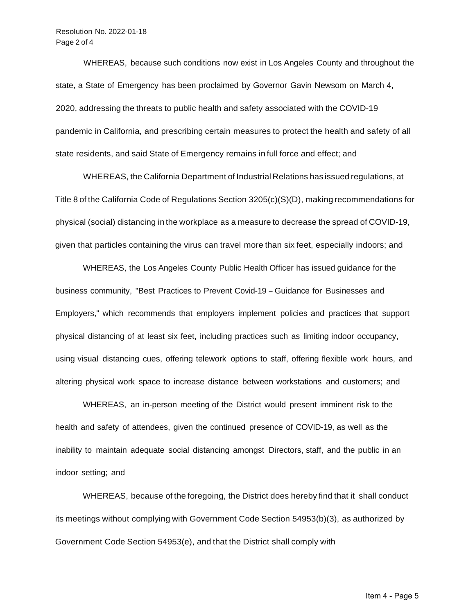WHEREAS, because such conditions now exist in Los Angeles County and throughout the state, a State of Emergency has been proclaimed by Governor Gavin Newsom on March 4, 2020, addressing the threats to public health and safety associated with the COVID-19 pandemic in California, and prescribing certain measures to protect the health and safety of all state residents, and said State of Emergency remains in full force and effect; and

WHEREAS, the California Department of Industrial Relations has issued regulations, at Title 8 of the California Code of Regulations Section 3205(c)(S)(D), making recommendations for physical (social) distancing in the workplace as a measure to decrease the spread of COVID-19, given that particles containing the virus can travel more than six feet, especially indoors; and

WHEREAS, the Los Angeles County Public Health Officer has issued guidance for the business community, "Best Practices to Prevent Covid-19 - Guidance for Businesses and Employers," which recommends that employers implement policies and practices that support physical distancing of at least six feet, including practices such as limiting indoor occupancy, using visual distancing cues, offering telework options to staff, offering flexible work hours, and altering physical work space to increase distance between workstations and customers; and

WHEREAS, an in-person meeting of the District would present imminent risk to the health and safety of attendees, given the continued presence of COVID-19, as well as the inability to maintain adequate social distancing amongst Directors, staff, and the public in an indoor setting; and

WHEREAS, because of the foregoing, the District does hereby find that it shall conduct its meetings without complying with Government Code Section 54953(b)(3), as authorized by Government Code Section 54953(e), and that the District shall comply with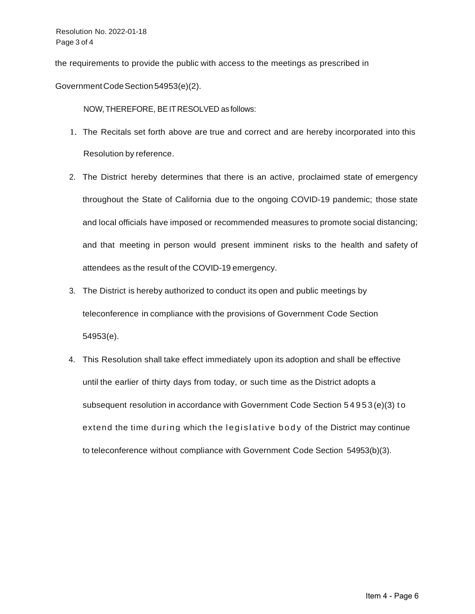the requirements to provide the public with access to the meetings as prescribed in

GovernmentCodeSection54953(e)(2).

NOW,THEREFORE, BE ITRESOLVED as follows:

- 1. The Recitals set forth above are true and correct and are hereby incorporated into this Resolution by reference.
- 2. The District hereby determines that there is an active, proclaimed state of emergency throughout the State of California due to the ongoing COVID-19 pandemic; those state and local officials have imposed or recommended measures to promote social distancing; and that meeting in person would present imminent risks to the health and safety of attendees as the result of the COVID-19 emergency.
- 3. The District is hereby authorized to conduct its open and public meetings by teleconference in compliance with the provisions of Government Code Section 54953(e).
- 4. This Resolution shall take effect immediately upon its adoption and shall be effective until the earlier of thirty days from today, or such time as the District adopts a subsequent resolution in accordance with Government Code Section 54953 (e)(3) t o extend the time during which the legislative body of the District may continue to teleconference without compliance with Government Code Section 54953(b)(3).